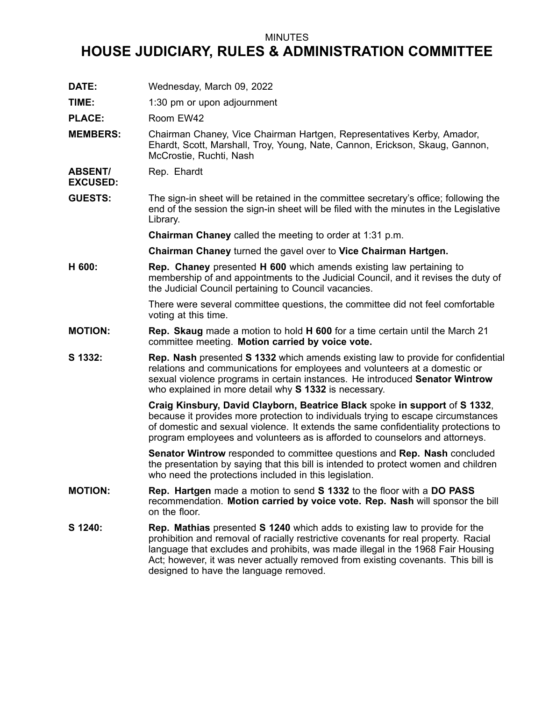## MINUTES

## **HOUSE JUDICIARY, RULES & ADMINISTRATION COMMITTEE**

**DATE:** Wednesday, March 09, 2022

**TIME:** 1:30 pm or upon adjournment

PLACE: Room EW42

**MEMBERS:** Chairman Chaney, Vice Chairman Hartgen, Representatives Kerby, Amador, Ehardt, Scott, Marshall, Troy, Young, Nate, Cannon, Erickson, Skaug, Gannon, McCrostie, Ruchti, Nash

**ABSENT/** Rep. Ehardt

**EXCUSED:**

**GUESTS:** The sign-in sheet will be retained in the committee secretary's office; following the end of the session the sign-in sheet will be filed with the minutes in the Legislative Library.

**Chairman Chaney** called the meeting to order at 1:31 p.m.

**Chairman Chaney** turned the gavel over to **Vice Chairman Hartgen.**

**H 600: Rep. Chaney** presented **H 600** which amends existing law pertaining to membership of and appointments to the Judicial Council, and it revises the duty of the Judicial Council pertaining to Council vacancies.

> There were several committee questions, the committee did not feel comfortable voting at this time.

- **MOTION: Rep. Skaug** made <sup>a</sup> motion to hold **H 600** for <sup>a</sup> time certain until the March 21 committee meeting. **Motion carried by voice vote.**
- **S 1332: Rep. Nash** presented **S 1332** which amends existing law to provide for confidential relations and communications for employees and volunteers at <sup>a</sup> domestic or sexual violence programs in certain instances. He introduced **Senator Wintrow** who explained in more detail why **S 1332** is necessary.

**Craig Kinsbury, David Clayborn, Beatrice Black** spoke **in support** of **S 1332**, because it provides more protection to individuals trying to escape circumstances of domestic and sexual violence. It extends the same confidentiality protections to program employees and volunteers as is afforded to counselors and attorneys.

**Senator Wintrow** responded to committee questions and **Rep. Nash** concluded the presentation by saying that this bill is intended to protect women and children who need the protections included in this legislation.

- **MOTION: Rep. Hartgen** made <sup>a</sup> motion to send **S 1332** to the floor with <sup>a</sup> **DO PASS** recommendation. **Motion carried by voice vote. Rep. Nash** will sponsor the bill on the floor.
- **S 1240: Rep. Mathias** presented **S 1240** which adds to existing law to provide for the prohibition and removal of racially restrictive covenants for real property. Racial language that excludes and prohibits, was made illegal in the 1968 Fair Housing Act; however, it was never actually removed from existing covenants. This bill is designed to have the language removed.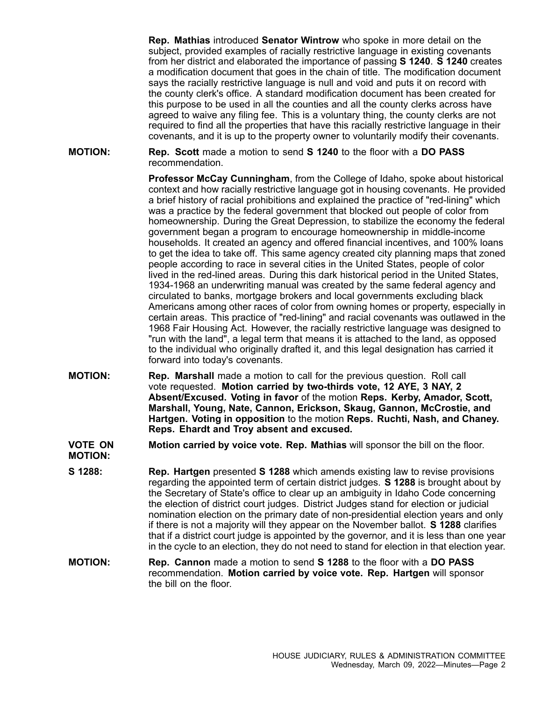**Rep. Mathias** introduced **Senator Wintrow** who spoke in more detail on the subject, provided examples of racially restrictive language in existing covenants from her district and elaborated the importance of passing **S 1240**. **S 1240** creates <sup>a</sup> modification document that goes in the chain of title. The modification document says the racially restrictive language is null and void and puts it on record with the county clerk's office. A standard modification document has been created for this purpose to be used in all the counties and all the county clerks across have agreed to waive any filing fee. This is <sup>a</sup> voluntary thing, the county clerks are not required to find all the properties that have this racially restrictive language in their covenants, and it is up to the property owner to voluntarily modify their covenants.

**MOTION: Rep. Scott** made <sup>a</sup> motion to send **S 1240** to the floor with <sup>a</sup> **DO PASS** recommendation.

> **Professor McCay Cunningham**, from the College of Idaho, spoke about historical context and how racially restrictive language got in housing covenants. He provided <sup>a</sup> brief history of racial prohibitions and explained the practice of "red-lining" which was <sup>a</sup> practice by the federal government that blocked out people of color from homeownership. During the Great Depression, to stabilize the economy the federal government began <sup>a</sup> program to encourage homeownership in middle-income households. It created an agency and offered financial incentives, and 100% loans to get the idea to take off. This same agency created city planning maps that zoned people according to race in several cities in the United States, people of color lived in the red-lined areas. During this dark historical period in the United States, 1934-1968 an underwriting manual was created by the same federal agency and circulated to banks, mortgage brokers and local governments excluding black Americans among other races of color from owning homes or property, especially in certain areas. This practice of "red-lining" and racial covenants was outlawed in the 1968 Fair Housing Act. However, the racially restrictive language was designed to "run with the land", <sup>a</sup> legal term that means it is attached to the land, as opposed to the individual who originally drafted it, and this legal designation has carried it forward into today's covenants.

**MOTION: Rep. Marshall** made <sup>a</sup> motion to call for the previous question. Roll call vote requested. **Motion carried by two-thirds vote, 12 AYE, 3 NAY, 2 Absent/Excused. Voting in favor** of the motion **Reps. Kerby, Amador, Scott, Marshall, Young, Nate, Cannon, Erickson, Skaug, Gannon, McCrostie, and Hartgen. Voting in opposition** to the motion **Reps. Ruchti, Nash, and Chaney. Reps. Ehardt and Troy absent and excused.**

**VOTE ON MOTION: Motion carried by voice vote. Rep. Mathias** will sponsor the bill on the floor.

- **S 1288: Rep. Hartgen** presented **S 1288** which amends existing law to revise provisions regarding the appointed term of certain district judges. **S 1288** is brought about by the Secretary of State's office to clear up an ambiguity in Idaho Code concerning the election of district court judges. District Judges stand for election or judicial nomination election on the primary date of non-presidential election years and only if there is not <sup>a</sup> majority will they appear on the November ballot. **S 1288** clarifies that if <sup>a</sup> district court judge is appointed by the governor, and it is less than one year in the cycle to an election, they do not need to stand for election in that election year.
- **MOTION: Rep. Cannon** made <sup>a</sup> motion to send **S 1288** to the floor with <sup>a</sup> **DO PASS** recommendation. **Motion carried by voice vote. Rep. Hartgen** will sponsor the bill on the floor.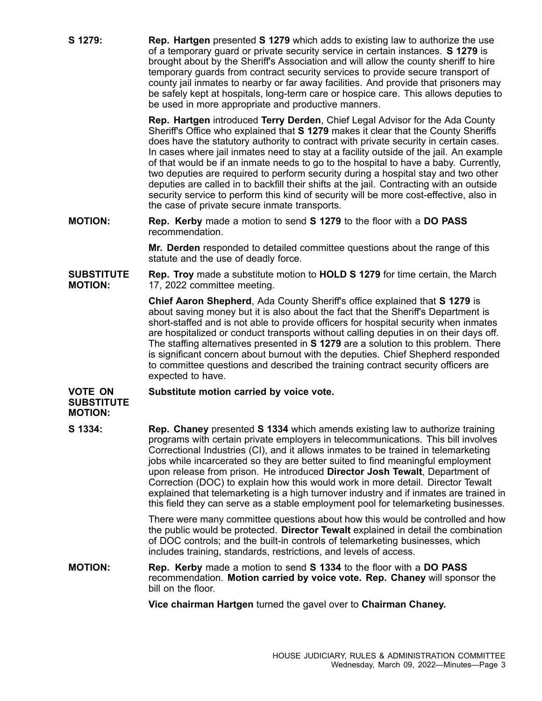**S 1279: Rep. Hartgen** presented **S 1279** which adds to existing law to authorize the use of <sup>a</sup> temporary guard or private security service in certain instances. **S 1279** is brought about by the Sheriff's Association and will allow the county sheriff to hire temporary guards from contract security services to provide secure transport of county jail inmates to nearby or far away facilities. And provide that prisoners may be safely kept at hospitals, long-term care or hospice care. This allows deputies to be used in more appropriate and productive manners.

> **Rep. Hartgen** introduced **Terry Derden**, Chief Legal Advisor for the Ada County Sheriff's Office who explained that **S 1279** makes it clear that the County Sheriffs does have the statutory authority to contract with private security in certain cases. In cases where jail inmates need to stay at <sup>a</sup> facility outside of the jail. An example of that would be if an inmate needs to go to the hospital to have <sup>a</sup> baby. Currently, two deputies are required to perform security during <sup>a</sup> hospital stay and two other deputies are called in to backfill their shifts at the jail. Contracting with an outside security service to perform this kind of security will be more cost-effective, also in the case of private secure inmate transports.

**MOTION: Rep. Kerby** made <sup>a</sup> motion to send **S 1279** to the floor with <sup>a</sup> **DO PASS** recommendation.

> **Mr. Derden** responded to detailed committee questions about the range of this statute and the use of deadly force.

**SUBSTITUTE MOTION: Rep. Troy** made <sup>a</sup> substitute motion to **HOLD S 1279** for time certain, the March 17, 2022 committee meeting.

> **Chief Aaron Shepherd**, Ada County Sheriff's office explained that **S 1279** is about saving money but it is also about the fact that the Sheriff's Department is short-staffed and is not able to provide officers for hospital security when inmates are hospitalized or conduct transports without calling deputies in on their days off. The staffing alternatives presented in **S 1279** are <sup>a</sup> solution to this problem. There is significant concern about burnout with the deputies. Chief Shepherd responded to committee questions and described the training contract security officers are expected to have.

## **VOTE ON SUBSTITUTE MOTION: Substitute motion carried by voice vote.**

**S 1334: Rep. Chaney** presented **S 1334** which amends existing law to authorize training programs with certain private employers in telecommunications. This bill involves Correctional Industries (CI), and it allows inmates to be trained in telemarketing jobs while incarcerated so they are better suited to find meaningful employment upon release from prison. He introduced **Director Josh Tewalt**, Department of Correction (DOC) to explain how this would work in more detail. Director Tewalt explained that telemarketing is <sup>a</sup> high turnover industry and if inmates are trained in this field they can serve as <sup>a</sup> stable employment pool for telemarketing businesses.

> There were many committee questions about how this would be controlled and how the public would be protected. **Director Tewalt** explained in detail the combination of DOC controls; and the built-in controls of telemarketing businesses, which includes training, standards, restrictions, and levels of access.

**MOTION: Rep. Kerby** made <sup>a</sup> motion to send **S 1334** to the floor with <sup>a</sup> **DO PASS** recommendation. **Motion carried by voice vote. Rep. Chaney** will sponsor the bill on the floor.

**Vice chairman Hartgen** turned the gavel over to **Chairman Chaney.**